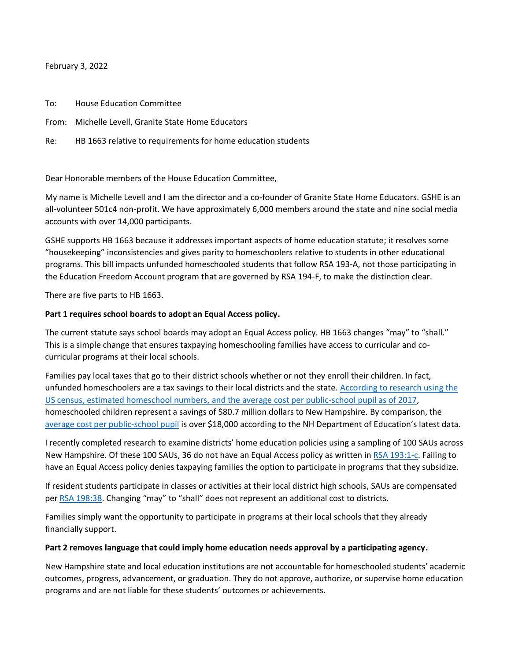February 3, 2022

To: House Education Committee

From: Michelle Levell, Granite State Home Educators

Re: HB 1663 relative to requirements for home education students

Dear Honorable members of the House Education Committee,

My name is Michelle Levell and I am the director and a co-founder of Granite State Home Educators. GSHE is an all-volunteer 501c4 non-profit. We have approximately 6,000 members around the state and nine social media accounts with over 14,000 participants.

GSHE supports HB 1663 because it addresses important aspects of home education statute; it resolves some "housekeeping" inconsistencies and gives parity to homeschoolers relative to students in other educational programs. This bill impacts unfunded homeschooled students that follow RSA 193-A, not those participating in the Education Freedom Account program that are governed by RSA 194-F, to make the distinction clear.

There are five parts to HB 1663.

## **Part 1 requires school boards to adopt an Equal Access policy.**

The current statute says school boards may adopt an Equal Access policy. HB 1663 changes "may" to "shall." This is a simple change that ensures taxpaying homeschooling families have access to curricular and cocurricular programs at their local schools.

Families pay local taxes that go to their district schools whether or not they enroll their children. In fact, unfunded homeschoolers are a tax savings to their local districts and the state. [According to research using the](https://www.intellectualtakeout.org/article/how-much-money-each-state-saves-thanks-homeschooling/)  [US census, estimated homeschool numbers, and the average cost per public-school pupil as of 2017,](https://www.intellectualtakeout.org/article/how-much-money-each-state-saves-thanks-homeschooling/) homeschooled children represent a savings of \$80.7 million dollars to New Hampshire. By comparison, the [average cost per public-school pupil](https://granitestatehomeeducators.org/homeschoolers-are-a-tax-savings/) is over \$18,000 according to the NH Department of Education's latest data.

I recently completed research to examine districts' home education policies using a sampling of 100 SAUs across New Hampshire. Of these 100 SAUs, 36 do not have an Equal Access policy as written in [RSA 193:1-c.](https://www.gencourt.state.nh.us/rsa/html/XV/193/193-1-c.htm) Failing to have an Equal Access policy denies taxpaying families the option to participate in programs that they subsidize.

If resident students participate in classes or activities at their local district high schools, SAUs are compensated pe[r RSA 198:38.](https://www.gencourt.state.nh.us/rsa/html/XV/198/198-38.htm) Changing "may" to "shall" does not represent an additional cost to districts.

Families simply want the opportunity to participate in programs at their local schools that they already financially support.

#### **Part 2 removes language that could imply home education needs approval by a participating agency.**

New Hampshire state and local education institutions are not accountable for homeschooled students' academic outcomes, progress, advancement, or graduation. They do not approve, authorize, or supervise home education programs and are not liable for these students' outcomes or achievements.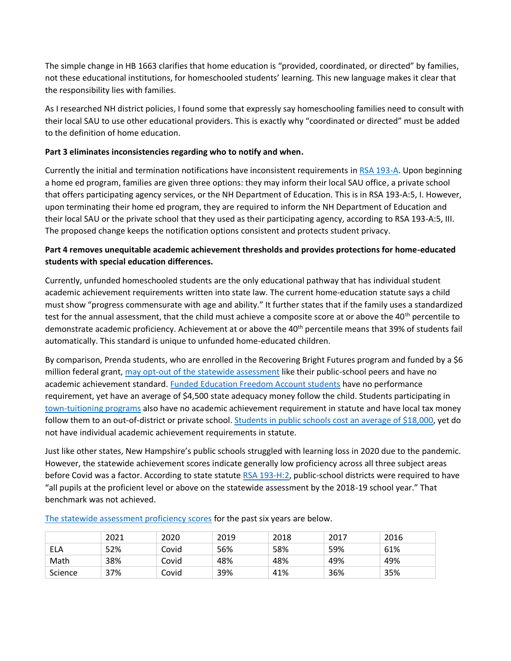The simple change in HB 1663 clarifies that home education is "provided, coordinated, or directed" by families, not these educational institutions, for homeschooled students' learning. This new language makes it clear that the responsibility lies with families.

As I researched NH district policies, I found some that expressly say homeschooling families need to consult with their local SAU to use other educational providers. This is exactly why "coordinated or directed" must be added to the definition of home education.

# **Part 3 eliminates inconsistencies regarding who to notify and when.**

Currently the initial and termination notifications have inconsistent requirements in [RSA 193-A.](https://www.gencourt.state.nh.us/rsa/html/XV/193-A/193-A-mrg.htm) Upon beginning a home ed program, families are given three options: they may inform their local SAU office, a private school that offers participating agency services, or the NH Department of Education. This is in RSA 193-A:5, I. However, upon terminating their home ed program, they are required to inform the NH Department of Education and their local SAU or the private school that they used as their participating agency, according to RSA 193-A:5, III. The proposed change keeps the notification options consistent and protects student privacy.

# **Part 4 removes unequitable academic achievement thresholds and provides protections for home-educated students with special education differences.**

Currently, unfunded homeschooled students are the only educational pathway that has individual student academic achievement requirements written into state law. The current home-education statute says a child must show "progress commensurate with age and ability." It further states that if the family uses a standardized test for the annual assessment, that the child must achieve a composite score at or above the 40<sup>th</sup> percentile to demonstrate academic proficiency. Achievement at or above the 40<sup>th</sup> percentile means that 39% of students fail automatically. This standard is unique to unfunded home-educated children.

By comparison, Prenda students, who are enrolled in the Recovering Bright Futures program and funded by a \$6 million federal grant, [may opt-out of the statewide assessment](https://www.prenda.com/states/new-hampshire-info) like their public-school peers and have no academic achievement standard. [Funded Education Freedom Account students](https://www.education.nh.gov/news/first-round-education-freedom-accounts-funding-be-released) have no performance requirement, yet have an average of \$4,500 state adequacy money follow the child. Students participating in [town-tuitioning programs](https://www.edchoice.org/school-choice/programs/new-hampshire-town-tuitioning-program/) also have no academic achievement requirement in statute and have local tax money follow them to an out-of-district or private school. [Students in public schools cost an average](https://www.education.nh.gov/sites/g/files/ehbemt326/files/inline-documents/sonh/cpp-fy2021.pdf) of \$18,000, yet do not have individual academic achievement requirements in statute.

Just like other states, New Hampshire's public schools struggled with learning loss in 2020 due to the pandemic. However, the statewide achievement scores indicate generally low proficiency across all three subject areas before Covid was a factor. According to state statute [RSA 193-H:2,](https://www.gencourt.state.nh.us/rsa/html/XV/193-H/193-H-mrg.htm) public-school districts were required to have "all pupils at the proficient level or above on the statewide assessment by the 2018-19 school year." That benchmark was not achieved.

|            | 2021 | 2020  | 2019 | 2018 | 2017 | 2016 |
|------------|------|-------|------|------|------|------|
| <b>ELA</b> | 52%  | Covid | 56%  | 58%  | 59%  | 61%  |
| Math       | 38%  | Covid | 48%  | 48%  | 49%  | 49%  |
| Science    | 37%  | Covid | 39%  | 41%  | 36%  | 35%  |

[The statewide assessment proficiency scores](https://dashboard.nh.gov/t/DOE/views/iReport-State/Overview?Select%2BYear=2021&%3Atabs=no&%3Aembed=y) for the past six years are below.